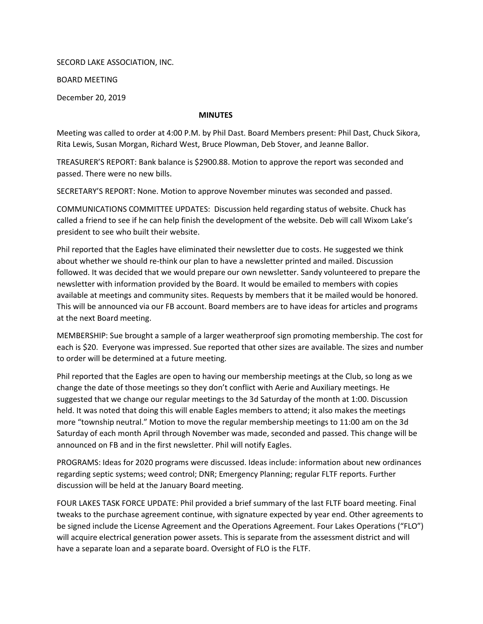SECORD LAKE ASSOCIATION, INC.

BOARD MEETING

December 20, 2019

## MINUTES

Meeting was called to order at 4:00 P.M. by Phil Dast. Board Members present: Phil Dast, Chuck Sikora, Rita Lewis, Susan Morgan, Richard West, Bruce Plowman, Deb Stover, and Jeanne Ballor.

TREASURER'S REPORT: Bank balance is \$2900.88. Motion to approve the report was seconded and passed. There were no new bills.

SECRETARY'S REPORT: None. Motion to approve November minutes was seconded and passed.

COMMUNICATIONS COMMITTEE UPDATES: Discussion held regarding status of website. Chuck has called a friend to see if he can help finish the development of the website. Deb will call Wixom Lake's president to see who built their website.

Phil reported that the Eagles have eliminated their newsletter due to costs. He suggested we think about whether we should re-think our plan to have a newsletter printed and mailed. Discussion followed. It was decided that we would prepare our own newsletter. Sandy volunteered to prepare the newsletter with information provided by the Board. It would be emailed to members with copies available at meetings and community sites. Requests by members that it be mailed would be honored. This will be announced via our FB account. Board members are to have ideas for articles and programs at the next Board meeting.

MEMBERSHIP: Sue brought a sample of a larger weatherproof sign promoting membership. The cost for each is \$20. Everyone was impressed. Sue reported that other sizes are available. The sizes and number to order will be determined at a future meeting.

Phil reported that the Eagles are open to having our membership meetings at the Club, so long as we change the date of those meetings so they don't conflict with Aerie and Auxiliary meetings. He suggested that we change our regular meetings to the 3d Saturday of the month at 1:00. Discussion held. It was noted that doing this will enable Eagles members to attend; it also makes the meetings more "township neutral." Motion to move the regular membership meetings to 11:00 am on the 3d Saturday of each month April through November was made, seconded and passed. This change will be announced on FB and in the first newsletter. Phil will notify Eagles.

PROGRAMS: Ideas for 2020 programs were discussed. Ideas include: information about new ordinances regarding septic systems; weed control; DNR; Emergency Planning; regular FLTF reports. Further discussion will be held at the January Board meeting.

FOUR LAKES TASK FORCE UPDATE: Phil provided a brief summary of the last FLTF board meeting. Final tweaks to the purchase agreement continue, with signature expected by year end. Other agreements to be signed include the License Agreement and the Operations Agreement. Four Lakes Operations ("FLO") will acquire electrical generation power assets. This is separate from the assessment district and will have a separate loan and a separate board. Oversight of FLO is the FLTF.